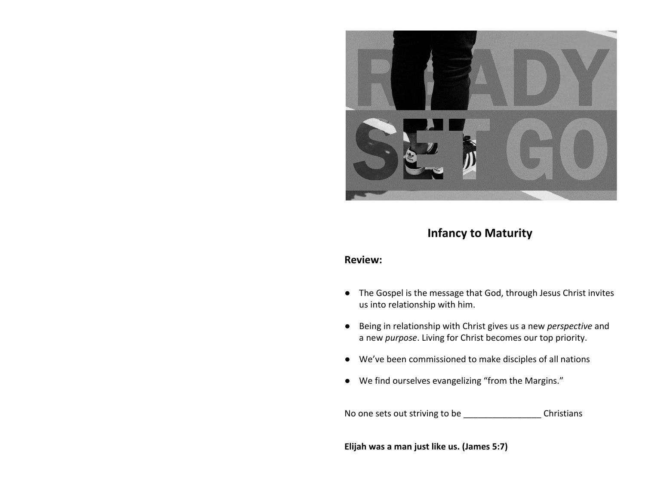

# **Infancy to Maturity**

#### **Review:**

- The Gospel is the message that God, through Jesus Christ invites us into relationship with him.
- Being in relationship with Christ gives us a new *perspective* and a new *purpose*. Living for Christ becomes our top priority.
- We've been commissioned to make disciples of all nations
- We find ourselves evangelizing "from the Margins."

No one sets out striving to be \_\_\_\_\_\_\_\_\_\_\_\_\_\_\_\_\_\_\_\_\_Christians

**Elijah was a man just like us. (James 5:7)**